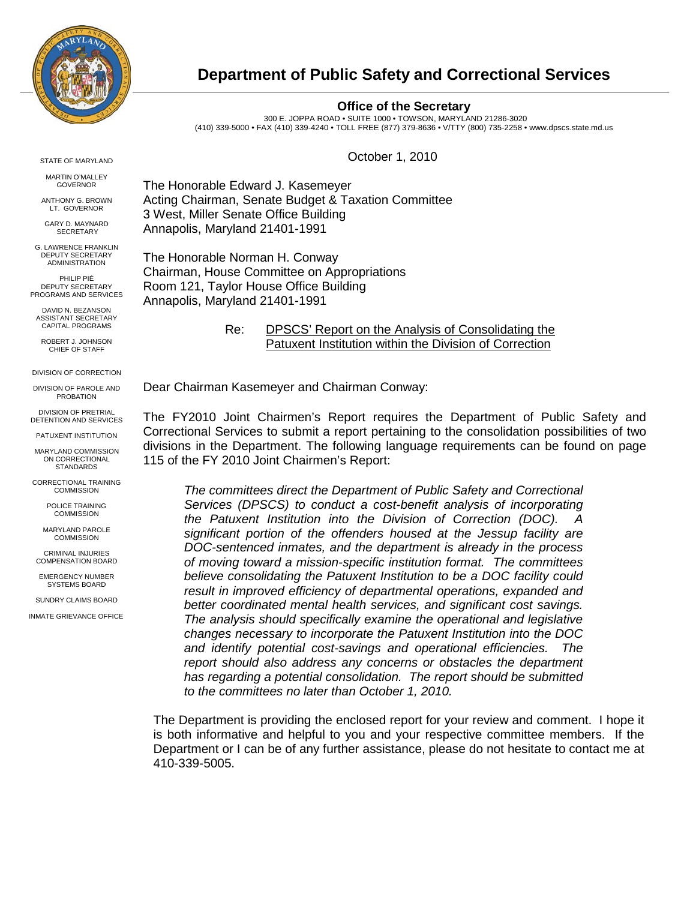

### **Department of Public Safety and Correctional Services**

#### **Office of the Secretary**

300 E. JOPPA ROAD • SUITE 1000 • TOWSON, MARYLAND 21286-3020 (410) 339-5000 • FAX (410) 339-4240 • TOLL FREE (877) 379-8636 • V/TTY (800) 735-2258 • [www.dpscs.state.md.us](http://www.dpscs.state.md.us/)

October 1, 2010

The Honorable Edward J. Kasemeyer Acting Chairman, Senate Budget & Taxation Committee 3 West, Miller Senate Office Building Annapolis, Maryland 21401-1991

The Honorable Norman H. Conway Chairman, House Committee on Appropriations Room 121, Taylor House Office Building Annapolis, Maryland 21401-1991

> Re: DPSCS' Report on the Analysis of Consolidating the Patuxent Institution within the Division of Correction

Dear Chairman Kasemeyer and Chairman Conway:

The FY2010 Joint Chairmen's Report requires the Department of Public Safety and Correctional Services to submit a report pertaining to the consolidation possibilities of two divisions in the Department. The following language requirements can be found on page 115 of the FY 2010 Joint Chairmen's Report:

*The committees direct the Department of Public Safety and Correctional Services (DPSCS) to conduct a cost-benefit analysis of incorporating*  the Patuxent Institution into the Division of Correction (DOC). *significant portion of the offenders housed at the Jessup facility are DOC-sentenced inmates, and the department is already in the process of moving toward a mission-specific institution format. The committees believe consolidating the Patuxent Institution to be a DOC facility could result in improved efficiency of departmental operations, expanded and better coordinated mental health services, and significant cost savings. The analysis should specifically examine the operational and legislative changes necessary to incorporate the Patuxent Institution into the DOC and identify potential cost-savings and operational efficiencies. The report should also address any concerns or obstacles the department has regarding a potential consolidation. The report should be submitted to the committees no later than October 1, 2010.*

The Department is providing the enclosed report for your review and comment. I hope it is both informative and helpful to you and your respective committee members. If the Department or I can be of any further assistance, please do not hesitate to contact me at 410-339-5005.

STATE OF MARYLAND

MARTIN O'MALLEY GOVERNOR

ANTHONY G. BROWN LT. GOVERNOR

GARY D. MAYNARD **SECRETARY** 

G. LAWRENCE FRANKLIN DEPUTY SECRETARY ADMINISTRATION

PHILIP PIÉ DEPUTY SECRETARY PROGRAMS AND SERVICES

DAVID N. BEZANSON ASSISTANT SECRETARY CAPITAL PROGRAMS

ROBERT J. JOHNSON CHIEF OF STAFF

DIVISION OF CORRECTION

DIVISION OF PAROLE AND PROBATION

DIVISION OF PRETRIAL DETENTION AND SERVICES

PATUXENT INSTITUTION

MARYLAND COMMISSION ON CORRECTIONAL **STANDARDS** 

CORRECTIONAL TRAINING COMMISSION

> POLICE TRAINING **COMMISSION**

MARYLAND PAROLE **COMMISSION** 

CRIMINAL INJURIES COMPENSATION BOARD

EMERGENCY NUMBER SYSTEMS BOARD

SUNDRY CLAIMS BOARD

INMATE GRIEVANCE OFFICE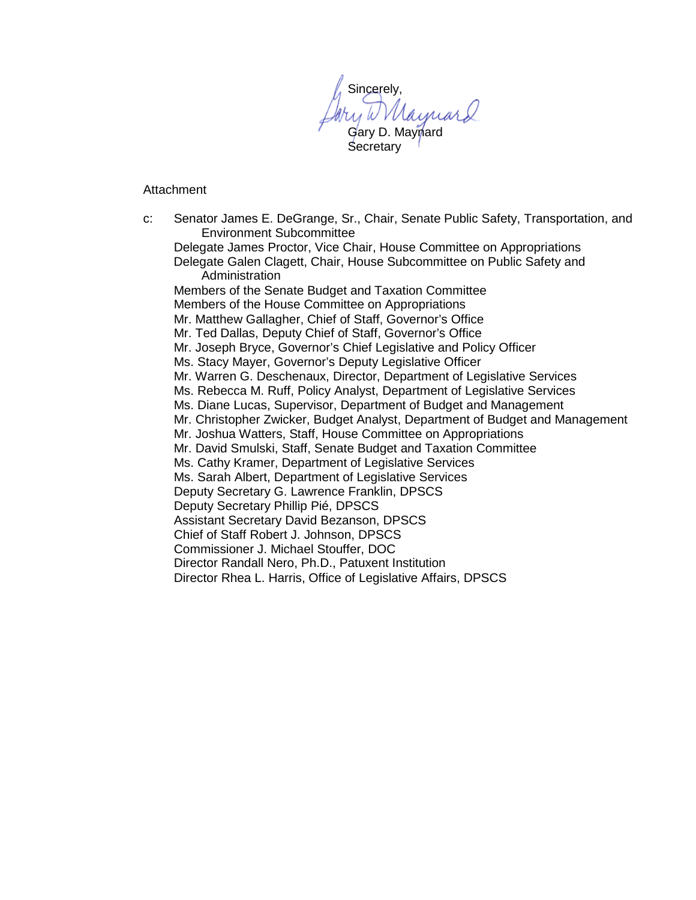Sincerely, Naynard Gary D. Maynard Secretary

Attachment

c: Senator James E. DeGrange, Sr., Chair, Senate Public Safety, Transportation, and Environment Subcommittee Delegate James Proctor, Vice Chair, House Committee on Appropriations Delegate Galen Clagett, Chair, House Subcommittee on Public Safety and **Administration** Members of the Senate Budget and Taxation Committee Members of the House Committee on Appropriations Mr. Matthew Gallagher, Chief of Staff, Governor's Office Mr. Ted Dallas, Deputy Chief of Staff, Governor's Office Mr. Joseph Bryce, Governor's Chief Legislative and Policy Officer Ms. Stacy Mayer, Governor's Deputy Legislative Officer Mr. Warren G. Deschenaux, Director, Department of Legislative Services Ms. Rebecca M. Ruff, Policy Analyst, Department of Legislative Services Ms. Diane Lucas, Supervisor, Department of Budget and Management Mr. Christopher Zwicker, Budget Analyst, Department of Budget and Management Mr. Joshua Watters, Staff, House Committee on Appropriations Mr. David Smulski, Staff, Senate Budget and Taxation Committee Ms. Cathy Kramer, Department of Legislative Services Ms. Sarah Albert, Department of Legislative Services Deputy Secretary G. Lawrence Franklin, DPSCS Deputy Secretary Phillip Pié, DPSCS Assistant Secretary David Bezanson, DPSCS Chief of Staff Robert J. Johnson, DPSCS Commissioner J. Michael Stouffer, DOC Director Randall Nero, Ph.D., Patuxent Institution Director Rhea L. Harris, Office of Legislative Affairs, DPSCS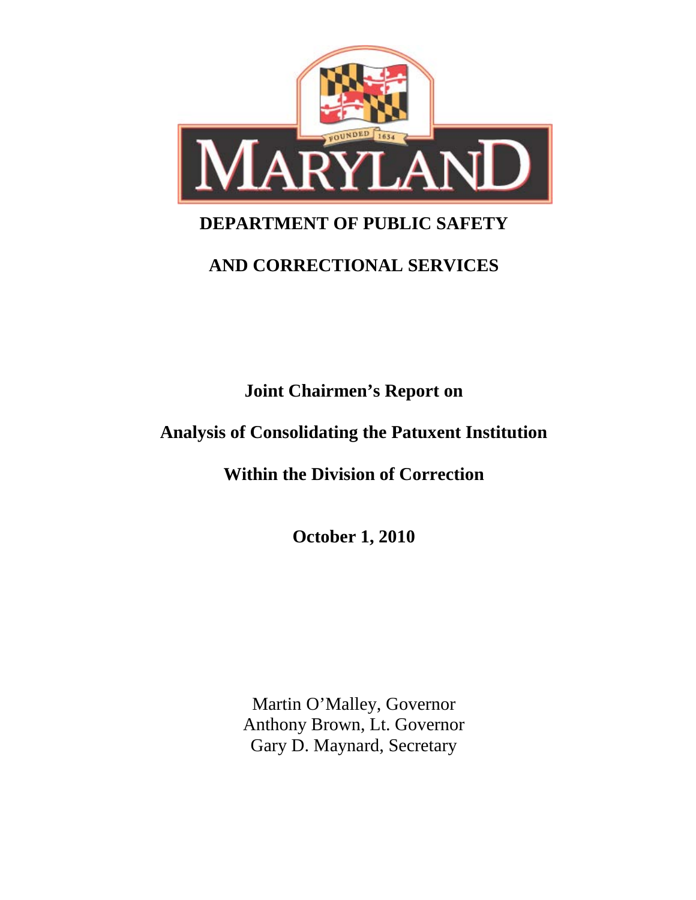

# **DEPARTMENT OF PUBLIC SAFETY**

## **AND CORRECTIONAL SERVICES**

**Joint Chairmen's Report on**

## **Analysis of Consolidating the Patuxent Institution**

**Within the Division of Correction**

**October 1, 2010**

Martin O'Malley, Governor Anthony Brown, Lt. Governor Gary D. Maynard, Secretary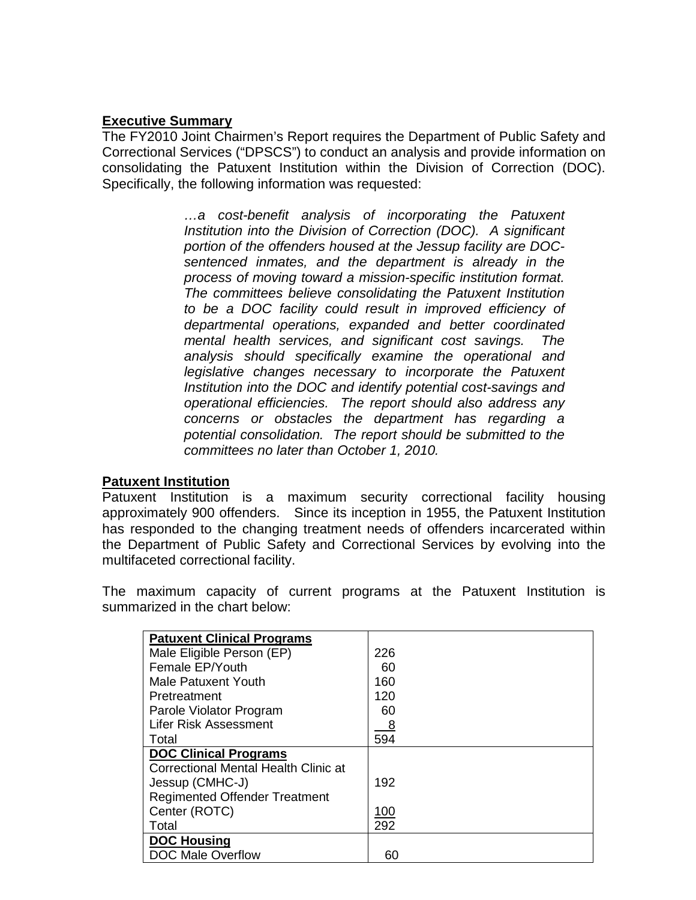### **Executive Summary**

The FY2010 Joint Chairmen's Report requires the Department of Public Safety and Correctional Services ("DPSCS") to conduct an analysis and provide information on consolidating the Patuxent Institution within the Division of Correction (DOC). Specifically, the following information was requested:

> *…a cost-benefit analysis of incorporating the Patuxent Institution into the Division of Correction (DOC). A significant portion of the offenders housed at the Jessup facility are DOCsentenced inmates, and the department is already in the process of moving toward a mission-specific institution format. The committees believe consolidating the Patuxent Institution to be a DOC facility could result in improved efficiency of departmental operations, expanded and better coordinated mental health services, and significant cost savings. The analysis should specifically examine the operational and legislative changes necessary to incorporate the Patuxent Institution into the DOC and identify potential cost-savings and operational efficiencies. The report should also address any concerns or obstacles the department has regarding a potential consolidation. The report should be submitted to the committees no later than October 1, 2010.*

#### **Patuxent Institution**

Patuxent Institution is a maximum security correctional facility housing approximately 900 offenders. Since its inception in 1955, the Patuxent Institution has responded to the changing treatment needs of offenders incarcerated within the Department of Public Safety and Correctional Services by evolving into the multifaceted correctional facility.

The maximum capacity of current programs at the Patuxent Institution is summarized in the chart below:

| <b>Patuxent Clinical Programs</b>    |             |
|--------------------------------------|-------------|
| Male Eligible Person (EP)            | 226         |
| Female EP/Youth                      | 60          |
| Male Patuxent Youth                  | 160         |
| Pretreatment                         | 120         |
| Parole Violator Program              | 60          |
| <b>Lifer Risk Assessment</b>         | 8           |
| Total                                | 594         |
| <b>DOC Clinical Programs</b>         |             |
| Correctional Mental Health Clinic at |             |
| Jessup (CMHC-J)                      | 192         |
| <b>Regimented Offender Treatment</b> |             |
| Center (ROTC)                        | <u> 100</u> |
| Total                                | 292         |
| DOC Housing                          |             |
| <b>DOC Male Overflow</b>             | 60          |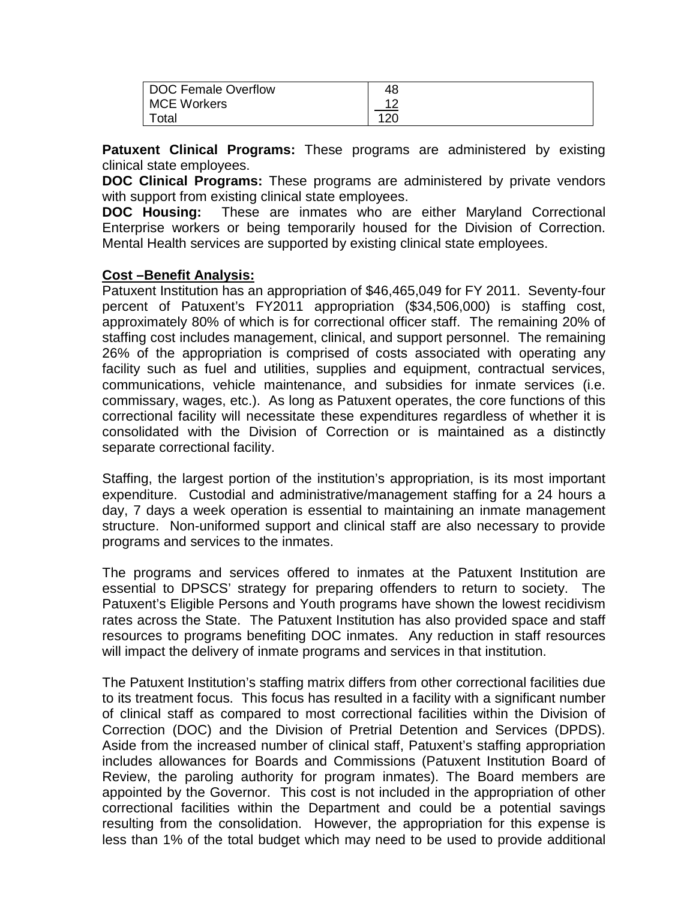| DOC Female Overflow | 48  |
|---------------------|-----|
| MCE Workers         | 10  |
| Total               | 120 |

**Patuxent Clinical Programs:** These programs are administered by existing clinical state employees.

**DOC Clinical Programs:** These programs are administered by private vendors with support from existing clinical state employees.

**DOC Housing:** These are inmates who are either Maryland Correctional Enterprise workers or being temporarily housed for the Division of Correction. Mental Health services are supported by existing clinical state employees.

### **Cost –Benefit Analysis:**

Patuxent Institution has an appropriation of \$46,465,049 for FY 2011. Seventy-four percent of Patuxent's FY2011 appropriation (\$34,506,000) is staffing cost, approximately 80% of which is for correctional officer staff. The remaining 20% of staffing cost includes management, clinical, and support personnel. The remaining 26% of the appropriation is comprised of costs associated with operating any facility such as fuel and utilities, supplies and equipment, contractual services, communications, vehicle maintenance, and subsidies for inmate services (i.e. commissary, wages, etc.). As long as Patuxent operates, the core functions of this correctional facility will necessitate these expenditures regardless of whether it is consolidated with the Division of Correction or is maintained as a distinctly separate correctional facility.

Staffing, the largest portion of the institution's appropriation, is its most important expenditure. Custodial and administrative/management staffing for a 24 hours a day, 7 days a week operation is essential to maintaining an inmate management structure. Non-uniformed support and clinical staff are also necessary to provide programs and services to the inmates.

The programs and services offered to inmates at the Patuxent Institution are essential to DPSCS' strategy for preparing offenders to return to society. The Patuxent's Eligible Persons and Youth programs have shown the lowest recidivism rates across the State. The Patuxent Institution has also provided space and staff resources to programs benefiting DOC inmates. Any reduction in staff resources will impact the delivery of inmate programs and services in that institution.

The Patuxent Institution's staffing matrix differs from other correctional facilities due to its treatment focus. This focus has resulted in a facility with a significant number of clinical staff as compared to most correctional facilities within the Division of Correction (DOC) and the Division of Pretrial Detention and Services (DPDS). Aside from the increased number of clinical staff, Patuxent's staffing appropriation includes allowances for Boards and Commissions (Patuxent Institution Board of Review, the paroling authority for program inmates). The Board members are appointed by the Governor. This cost is not included in the appropriation of other correctional facilities within the Department and could be a potential savings resulting from the consolidation. However, the appropriation for this expense is less than 1% of the total budget which may need to be used to provide additional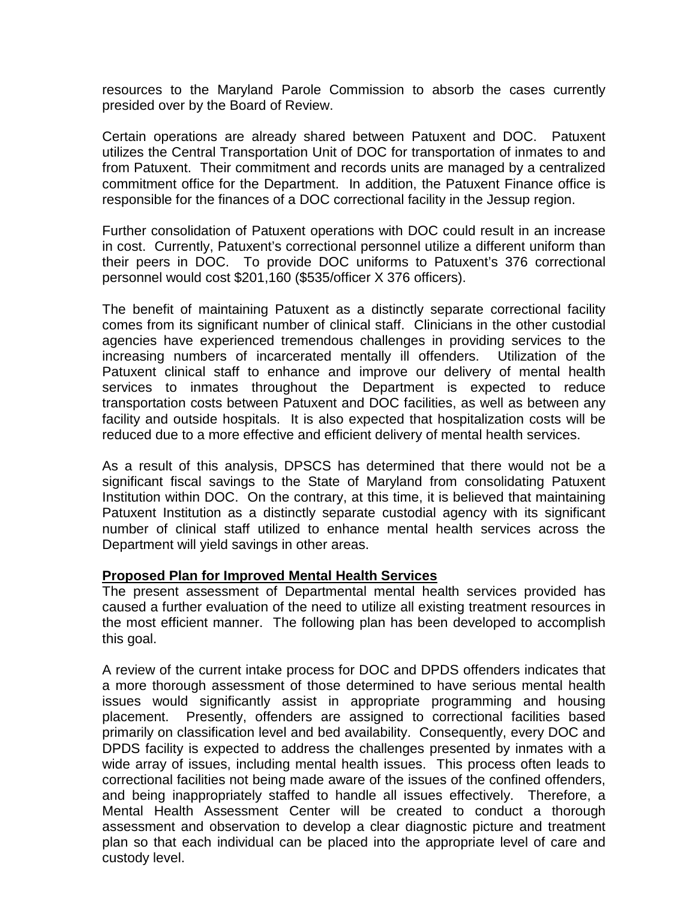resources to the Maryland Parole Commission to absorb the cases currently presided over by the Board of Review.

Certain operations are already shared between Patuxent and DOC. Patuxent utilizes the Central Transportation Unit of DOC for transportation of inmates to and from Patuxent. Their commitment and records units are managed by a centralized commitment office for the Department. In addition, the Patuxent Finance office is responsible for the finances of a DOC correctional facility in the Jessup region.

Further consolidation of Patuxent operations with DOC could result in an increase in cost. Currently, Patuxent's correctional personnel utilize a different uniform than their peers in DOC. To provide DOC uniforms to Patuxent's 376 correctional personnel would cost \$201,160 (\$535/officer X 376 officers).

The benefit of maintaining Patuxent as a distinctly separate correctional facility comes from its significant number of clinical staff. Clinicians in the other custodial agencies have experienced tremendous challenges in providing services to the increasing numbers of incarcerated mentally ill offenders. Utilization of the Patuxent clinical staff to enhance and improve our delivery of mental health services to inmates throughout the Department is expected to reduce transportation costs between Patuxent and DOC facilities, as well as between any facility and outside hospitals. It is also expected that hospitalization costs will be reduced due to a more effective and efficient delivery of mental health services.

As a result of this analysis, DPSCS has determined that there would not be a significant fiscal savings to the State of Maryland from consolidating Patuxent Institution within DOC. On the contrary, at this time, it is believed that maintaining Patuxent Institution as a distinctly separate custodial agency with its significant number of clinical staff utilized to enhance mental health services across the Department will yield savings in other areas.

#### **Proposed Plan for Improved Mental Health Services**

The present assessment of Departmental mental health services provided has caused a further evaluation of the need to utilize all existing treatment resources in the most efficient manner. The following plan has been developed to accomplish this goal.

A review of the current intake process for DOC and DPDS offenders indicates that a more thorough assessment of those determined to have serious mental health issues would significantly assist in appropriate programming and housing placement. Presently, offenders are assigned to correctional facilities based primarily on classification level and bed availability. Consequently, every DOC and DPDS facility is expected to address the challenges presented by inmates with a wide array of issues, including mental health issues. This process often leads to correctional facilities not being made aware of the issues of the confined offenders, and being inappropriately staffed to handle all issues effectively. Therefore, a Mental Health Assessment Center will be created to conduct a thorough assessment and observation to develop a clear diagnostic picture and treatment plan so that each individual can be placed into the appropriate level of care and custody level.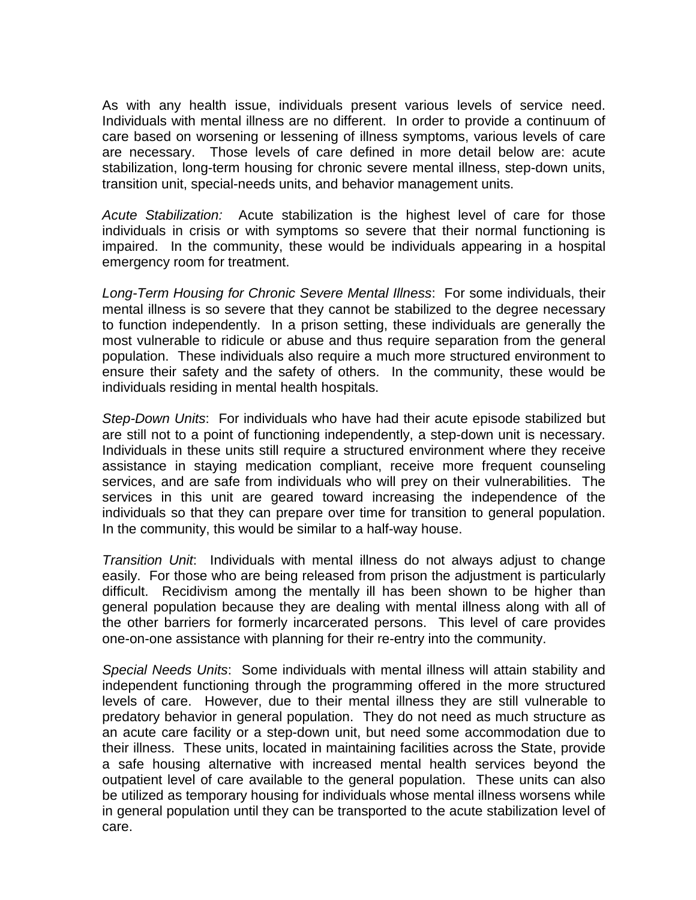As with any health issue, individuals present various levels of service need. Individuals with mental illness are no different. In order to provide a continuum of care based on worsening or lessening of illness symptoms, various levels of care are necessary. Those levels of care defined in more detail below are: acute stabilization, long-term housing for chronic severe mental illness, step-down units, transition unit, special-needs units, and behavior management units.

*Acute Stabilization:* Acute stabilization is the highest level of care for those individuals in crisis or with symptoms so severe that their normal functioning is impaired. In the community, these would be individuals appearing in a hospital emergency room for treatment.

*Long-Term Housing for Chronic Severe Mental Illness*: For some individuals, their mental illness is so severe that they cannot be stabilized to the degree necessary to function independently. In a prison setting, these individuals are generally the most vulnerable to ridicule or abuse and thus require separation from the general population. These individuals also require a much more structured environment to ensure their safety and the safety of others. In the community, these would be individuals residing in mental health hospitals.

*Step-Down Units*: For individuals who have had their acute episode stabilized but are still not to a point of functioning independently, a step-down unit is necessary. Individuals in these units still require a structured environment where they receive assistance in staying medication compliant, receive more frequent counseling services, and are safe from individuals who will prey on their vulnerabilities. The services in this unit are geared toward increasing the independence of the individuals so that they can prepare over time for transition to general population. In the community, this would be similar to a half-way house.

*Transition Unit*: Individuals with mental illness do not always adjust to change easily. For those who are being released from prison the adjustment is particularly difficult. Recidivism among the mentally ill has been shown to be higher than general population because they are dealing with mental illness along with all of the other barriers for formerly incarcerated persons. This level of care provides one-on-one assistance with planning for their re-entry into the community.

*Special Needs Units*: Some individuals with mental illness will attain stability and independent functioning through the programming offered in the more structured levels of care. However, due to their mental illness they are still vulnerable to predatory behavior in general population. They do not need as much structure as an acute care facility or a step-down unit, but need some accommodation due to their illness. These units, located in maintaining facilities across the State, provide a safe housing alternative with increased mental health services beyond the outpatient level of care available to the general population. These units can also be utilized as temporary housing for individuals whose mental illness worsens while in general population until they can be transported to the acute stabilization level of care.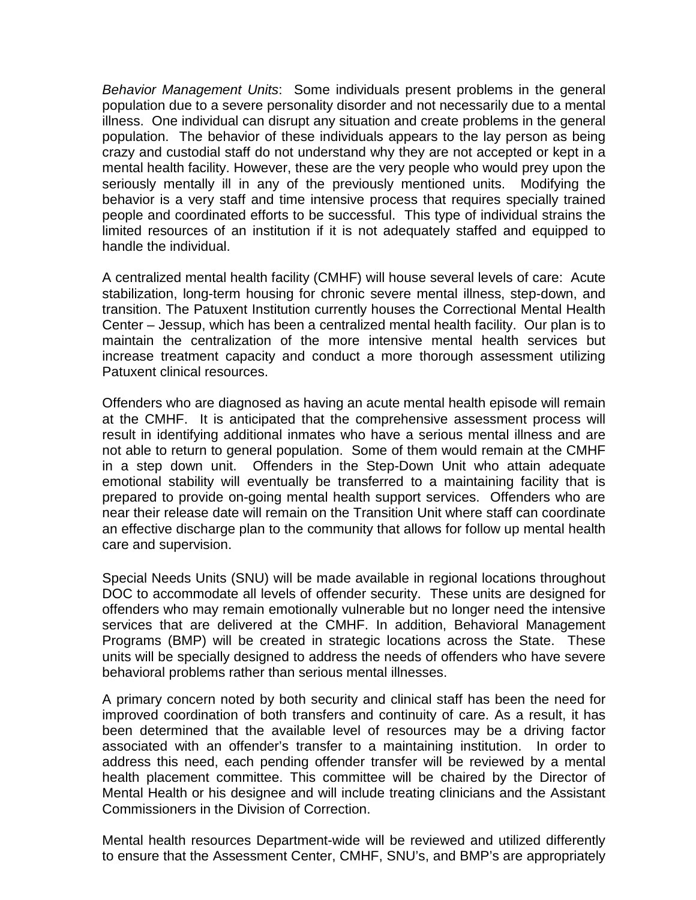*Behavior Management Units*: Some individuals present problems in the general population due to a severe personality disorder and not necessarily due to a mental illness. One individual can disrupt any situation and create problems in the general population. The behavior of these individuals appears to the lay person as being crazy and custodial staff do not understand why they are not accepted or kept in a mental health facility. However, these are the very people who would prey upon the seriously mentally ill in any of the previously mentioned units. Modifying the behavior is a very staff and time intensive process that requires specially trained people and coordinated efforts to be successful. This type of individual strains the limited resources of an institution if it is not adequately staffed and equipped to handle the individual.

A centralized mental health facility (CMHF) will house several levels of care: Acute stabilization, long-term housing for chronic severe mental illness, step-down, and transition. The Patuxent Institution currently houses the Correctional Mental Health Center – Jessup, which has been a centralized mental health facility. Our plan is to maintain the centralization of the more intensive mental health services but increase treatment capacity and conduct a more thorough assessment utilizing Patuxent clinical resources.

Offenders who are diagnosed as having an acute mental health episode will remain at the CMHF. It is anticipated that the comprehensive assessment process will result in identifying additional inmates who have a serious mental illness and are not able to return to general population. Some of them would remain at the CMHF in a step down unit. Offenders in the Step-Down Unit who attain adequate emotional stability will eventually be transferred to a maintaining facility that is prepared to provide on-going mental health support services. Offenders who are near their release date will remain on the Transition Unit where staff can coordinate an effective discharge plan to the community that allows for follow up mental health care and supervision.

Special Needs Units (SNU) will be made available in regional locations throughout DOC to accommodate all levels of offender security. These units are designed for offenders who may remain emotionally vulnerable but no longer need the intensive services that are delivered at the CMHF. In addition, Behavioral Management Programs (BMP) will be created in strategic locations across the State. These units will be specially designed to address the needs of offenders who have severe behavioral problems rather than serious mental illnesses.

A primary concern noted by both security and clinical staff has been the need for improved coordination of both transfers and continuity of care. As a result, it has been determined that the available level of resources may be a driving factor associated with an offender's transfer to a maintaining institution. In order to address this need, each pending offender transfer will be reviewed by a mental health placement committee. This committee will be chaired by the Director of Mental Health or his designee and will include treating clinicians and the Assistant Commissioners in the Division of Correction.

Mental health resources Department-wide will be reviewed and utilized differently to ensure that the Assessment Center, CMHF, SNU's, and BMP's are appropriately